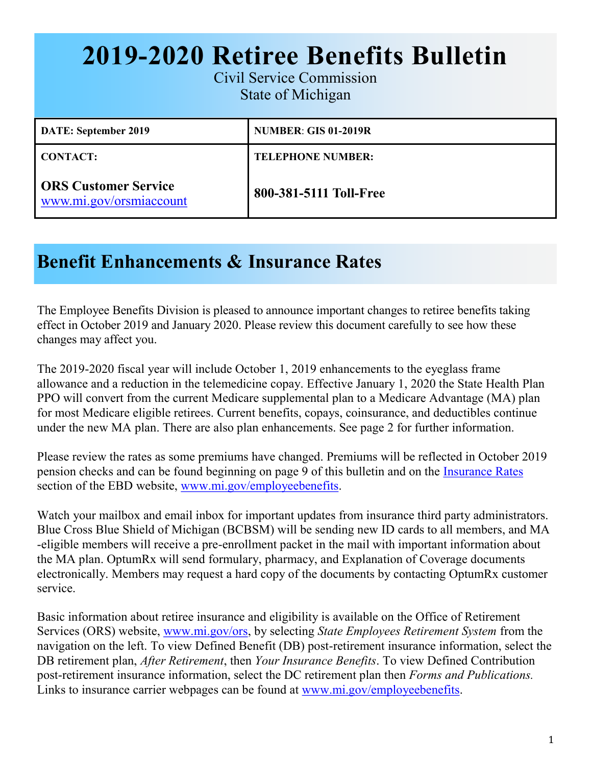# **2019-2020 Retiree Benefits Bulletin**

Civil Service Commission State of Michigan

| <b>DATE: September 2019</b>                            | <b>NUMBER: GIS 01-2019R</b> |
|--------------------------------------------------------|-----------------------------|
| <b>CONTACT:</b>                                        | <b>TELEPHONE NUMBER:</b>    |
| <b>ORS Customer Service</b><br>www.mi.gov/orsmiaccount | 800-381-5111 Toll-Free      |

### **Benefit Enhancements & Insurance Rates**

The Employee Benefits Division is pleased to announce important changes to retiree benefits taking effect in October 2019 and January 2020. Please review this document carefully to see how these changes may affect you.

The 2019-2020 fiscal year will include October 1, 2019 enhancements to the eyeglass frame allowance and a reduction in the telemedicine copay. Effective January 1, 2020 the State Health Plan PPO will convert from the current Medicare supplemental plan to a Medicare Advantage (MA) plan for most Medicare eligible retirees. Current benefits, copays, coinsurance, and deductibles continue under the new MA plan. There are also plan enhancements. See page 2 for further information.

Please review the rates as some premiums have changed. Premiums will be reflected in October 2019 pension checks and can be found beginning on page 9 of this bulletin and on the [Insurance Rates](https://www.michigan.gov/mdcs/0%2C4614%2C7-147-22854_6649---%2C00.html) section of the EBD website, www.mi.gov/employeebenefits.

Watch your mailbox and email inbox for important updates from insurance third party administrators. Blue Cross Blue Shield of Michigan (BCBSM) will be sending new ID cards to all members, and MA -eligible members will receive a pre-enrollment packet in the mail with important information about the MA plan. OptumRx will send formulary, pharmacy, and Explanation of Coverage documents electronically. Members may request a hard copy of the documents by contacting OptumRx customer service.

Basic information about retiree insurance and eligibility is available on the Office of Retirement Services (ORS) website, [www.mi.gov/ors,](https://www.michigan.gov/ors) by selecting *State Employees Retirement System* from the navigation on the left. To view Defined Benefit (DB) post-retirement insurance information, select the DB retirement plan, *After Retirement*, then *Your Insurance Benefits*. To view Defined Contribution post-retirement insurance information, select the DC retirement plan then *Forms and Publications.*  Links to insurance carrier webpages can be found at [www.mi.gov/employeebenefits.](https://www.michigan.gov/mdcs/0,4614,7-147-22854---,00.html)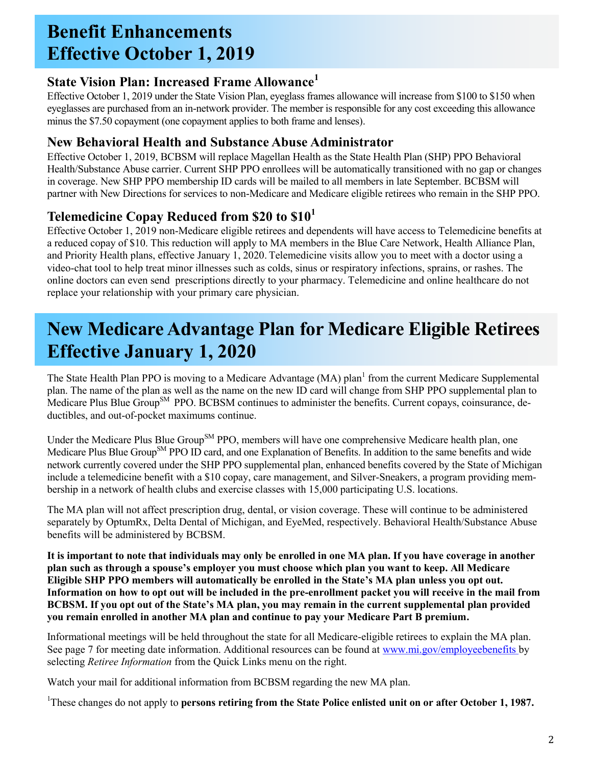### **Benefit Enhancements Effective October 1, 2019**

#### **State Vision Plan: Increased Frame Allowance<sup>1</sup>**

Effective October 1, 2019 under the State Vision Plan, eyeglass frames allowance will increase from \$100 to \$150 when eyeglasses are purchased from an in-network provider. The member is responsible for any cost exceeding this allowance minus the \$7.50 copayment (one copayment applies to both frame and lenses).

#### **New Behavioral Health and Substance Abuse Administrator**

Effective October 1, 2019, BCBSM will replace Magellan Health as the State Health Plan (SHP) PPO Behavioral Health/Substance Abuse carrier. Current SHP PPO enrollees will be automatically transitioned with no gap or changes in coverage. New SHP PPO membership ID cards will be mailed to all members in late September. BCBSM will partner with New Directions for services to non-Medicare and Medicare eligible retirees who remain in the SHP PPO.

#### **Telemedicine Copay Reduced from \$20 to \$10<sup>1</sup>**

Effective October 1, 2019 non-Medicare eligible retirees and dependents will have access to Telemedicine benefits at a reduced copay of \$10. This reduction will apply to MA members in the Blue Care Network, Health Alliance Plan, and Priority Health plans, effective January 1, 2020. Telemedicine visits allow you to meet with a doctor using a video-chat tool to help treat minor illnesses such as colds, sinus or respiratory infections, sprains, or rashes. The online doctors can even send prescriptions directly to your pharmacy. Telemedicine and online healthcare do not replace your relationship with your primary care physician.

### **New Medicare Advantage Plan for Medicare Eligible Retirees Effective January 1, 2020**

The State Health Plan PPO is moving to a Medicare Advantage (MA) plan<sup>1</sup> from the current Medicare Supplemental plan. The name of the plan as well as the name on the new ID card will change from SHP PPO supplemental plan to Medicare Plus Blue Group<sup>SM</sup> PPO. BCBSM continues to administer the benefits. Current copays, coinsurance, deductibles, and out-of-pocket maximums continue.

Under the Medicare Plus Blue Group<sup>SM</sup> PPO, members will have one comprehensive Medicare health plan, one Medicare Plus Blue Group<sup>SM</sup> PPO ID card, and one Explanation of Benefits. In addition to the same benefits and wide network currently covered under the SHP PPO supplemental plan, enhanced benefits covered by the State of Michigan include a telemedicine benefit with a \$10 copay, care management, and Silver-Sneakers, a program providing membership in a network of health clubs and exercise classes with 15,000 participating U.S. locations.

The MA plan will not affect prescription drug, dental, or vision coverage. These will continue to be administered separately by OptumRx, Delta Dental of Michigan, and EyeMed, respectively. Behavioral Health/Substance Abuse benefits will be administered by BCBSM.

**It is important to note that individuals may only be enrolled in one MA plan. If you have coverage in another plan such as through a spouse's employer you must choose which plan you want to keep. All Medicare Eligible SHP PPO members will automatically be enrolled in the State's MA plan unless you opt out. Information on how to opt out will be included in the pre-enrollment packet you will receive in the mail from BCBSM. If you opt out of the State's MA plan, you may remain in the current supplemental plan provided you remain enrolled in another MA plan and continue to pay your Medicare Part B premium.**

Informational meetings will be held throughout the state for all Medicare-eligible retirees to explain the MA plan. See page 7 for meeting date information. Additional resources can be found at www.mi.gov/employeebenefits by selecting *Retiree Information* from the Quick Links menu on the right.

Watch your mail for additional information from BCBSM regarding the new MA plan.

<sup>1</sup>These changes do not apply to **persons retiring from the State Police enlisted unit on or after October 1, 1987.**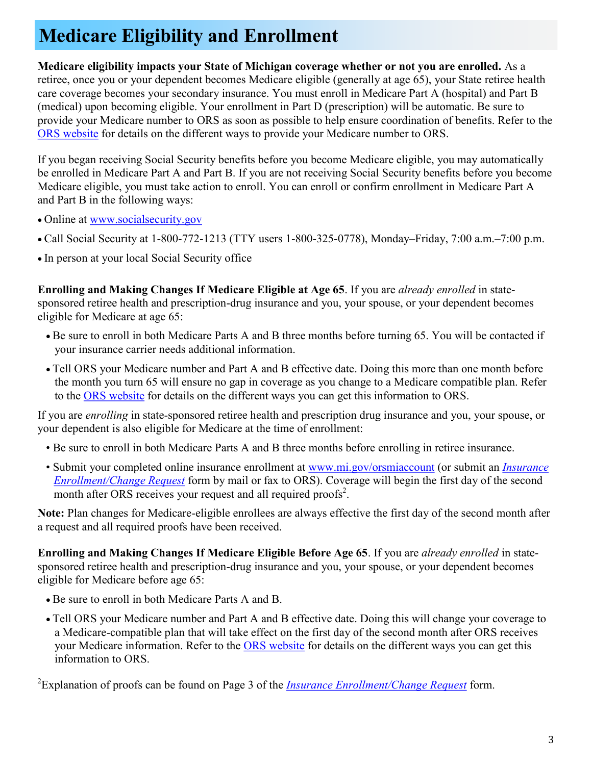## **Medicare Eligibility and Enrollment**

**Medicare eligibility impacts your State of Michigan coverage whether or not you are enrolled.** As a retiree, once you or your dependent becomes Medicare eligible (generally at age 65), your State retiree health care coverage becomes your secondary insurance. You must enroll in Medicare Part A (hospital) and Part B (medical) upon becoming eligible. Your enrollment in Part D (prescription) will be automatic. Be sure to provide your Medicare number to ORS as soon as possible to help ensure coordination of benefits. Refer to the [ORS website](https://www.michigan.gov/orsstatedb/0,4654,7-208-30608_48469_68108---,00.html) for details on the different ways to provide your Medicare number to ORS.

If you began receiving Social Security benefits before you become Medicare eligible, you may automatically be enrolled in Medicare Part A and Part B. If you are not receiving Social Security benefits before you become Medicare eligible, you must take action to enroll. You can enroll or confirm enrollment in Medicare Part A and Part B in the following ways:

- Online at [www.socialsecurity.gov](https://www.ssa.gov/)
- Call Social Security at 1-800-772-1213 (TTY users 1-800-325-0778), Monday–Friday, 7:00 a.m.–7:00 p.m.
- In person at your local Social Security office

**Enrolling and Making Changes If Medicare Eligible at Age 65**. If you are *already enrolled* in statesponsored retiree health and prescription-drug insurance and you, your spouse, or your dependent becomes eligible for Medicare at age 65:

- Be sure to enroll in both Medicare Parts A and B three months before turning 65. You will be contacted if your insurance carrier needs additional information.
- Tell ORS your Medicare number and Part A and B effective date. Doing this more than one month before the month you turn 65 will ensure no gap in coverage as you change to a Medicare compatible plan. Refer to the [ORS website](https://www.michigan.gov/orsstatedb/0,4654,7-208-30608_48469_68108---,00.html) for details on the different ways you can get this information to ORS.

If you are *enrolling* in state-sponsored retiree health and prescription drug insurance and you, your spouse, or your dependent is also eligible for Medicare at the time of enrollment:

- Be sure to enroll in both Medicare Parts A and B three months before enrolling in retiree insurance.
- Submit your completed online insurance enrollment at [www.mi.gov/orsmiaccount](https://ssprd.state.mi.us/wss/security/login.do?method=showLogin&retirementSystemId=1030) (or submit an *[Insurance](https://www.michigan.gov/documents/orsstatedb/R0452GH_244205_7.pdf)  [Enrollment/Change Request](https://www.michigan.gov/documents/orsstatedb/R0452GH_244205_7.pdf)* form by mail or fax to ORS). Coverage will begin the first day of the second month after ORS receives your request and all required proofs<sup>2</sup>.

**Note:** Plan changes for Medicare-eligible enrollees are always effective the first day of the second month after a request and all required proofs have been received.

**Enrolling and Making Changes If Medicare Eligible Before Age 65**. If you are *already enrolled* in statesponsored retiree health and prescription-drug insurance and you, your spouse, or your dependent becomes eligible for Medicare before age 65:

- Be sure to enroll in both Medicare Parts A and B.
- Tell ORS your Medicare number and Part A and B effective date. Doing this will change your coverage to a Medicare-compatible plan that will take effect on the first day of the second month after ORS receives your Medicare information. Refer to the **ORS** website for details on the different ways you can get this information to ORS.

<sup>2</sup>Explanation of proofs can be found on Page 3 of the *[Insurance Enrollment/Change Request](https://www.michigan.gov/documents/orsstatedb/R0452GH_244205_7.pdf)* form.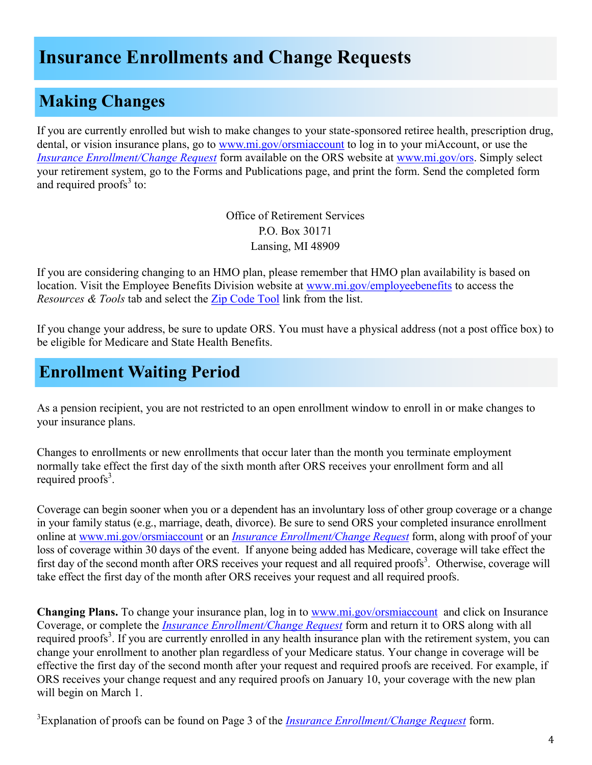### **Insurance Enrollments and Change Requests**

### **Making Changes**

If you are currently enrolled but wish to make changes to your state-sponsored retiree health, prescription drug, dental, or vision insurance plans, go to [www.mi.gov/orsmiaccount](http://www.michigan.gov/orsmiaccount) to log in to your miAccount, or use the *[Insurance Enrollment/Change Request](https://www.michigan.gov/documents/orsstatedb/R0452GH_244205_7.pdf)* form available on the ORS website at [www.mi.gov/ors.](http://www.michigan.gov/ors) Simply select your retirement system, go to the Forms and Publications page, and print the form. Send the completed form and required proofs $3$  to:

> Office of Retirement Services P.O. Box 30171 Lansing, MI 48909

If you are considering changing to an HMO plan, please remember that HMO plan availability is based on location. Visit the Employee Benefits Division website at [www.mi.gov/employeebenefits](http://www.michigan.gov/employeebenefits) to access the *Resources & Tools* tab and select the [Zip Code Tool](https://civilservice.state.mi.us/MCSCZIPCodesBenefits/InsuranceCodes.aspx) link from the list.

If you change your address, be sure to update ORS. You must have a physical address (not a post office box) to be eligible for Medicare and State Health Benefits.

### **Enrollment Waiting Period**

As a pension recipient, you are not restricted to an open enrollment window to enroll in or make changes to your insurance plans.

Changes to enrollments or new enrollments that occur later than the month you terminate employment normally take effect the first day of the sixth month after ORS receives your enrollment form and all required proofs<sup>3</sup>.

Coverage can begin sooner when you or a dependent has an involuntary loss of other group coverage or a change in your family status (e.g., marriage, death, divorce). Be sure to send ORS your completed insurance enrollment online at [www.mi.gov/orsmiaccount](http://www.michigan.gov/orsmiaccount) or an *[Insurance Enrollment/Change Request](https://www.michigan.gov/documents/orsstatedb/R0452GH_244205_7.pdf)* form, along with proof of your loss of coverage within 30 days of the event. If anyone being added has Medicare, coverage will take effect the first day of the second month after ORS receives your request and all required proofs<sup>3</sup>. Otherwise, coverage will take effect the first day of the month after ORS receives your request and all required proofs.

**Changing Plans.** To change your insurance plan, log in to [www.mi.gov/orsmiaccount](http://www.michigan.gov/orsmiaccount) and click on Insurance Coverage, or complete the *[Insurance Enrollment/Change Request](https://www.michigan.gov/documents/orsstatedb/R0452GH_244205_7.pdf)* form and return it to ORS along with all required proofs<sup>3</sup>. If you are currently enrolled in any health insurance plan with the retirement system, you can change your enrollment to another plan regardless of your Medicare status. Your change in coverage will be effective the first day of the second month after your request and required proofs are received. For example, if ORS receives your change request and any required proofs on January 10, your coverage with the new plan will begin on March 1.

<sup>3</sup>Explanation of proofs can be found on Page 3 of the *[Insurance Enrollment/Change Request](https://www.michigan.gov/documents/orsstatedb/R0452GH_244205_7.pdf)* form.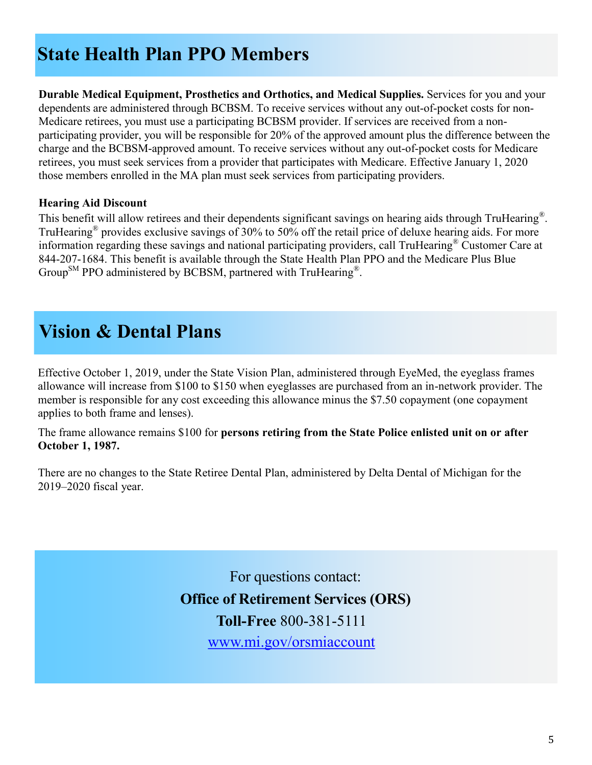### **State Health Plan PPO Members**

**Durable Medical Equipment, Prosthetics and Orthotics, and Medical Supplies.** Services for you and your dependents are administered through BCBSM. To receive services without any out-of-pocket costs for non-Medicare retirees, you must use a participating BCBSM provider. If services are received from a nonparticipating provider, you will be responsible for 20% of the approved amount plus the difference between the charge and the BCBSM-approved amount. To receive services without any out-of-pocket costs for Medicare retirees, you must seek services from a provider that participates with Medicare. Effective January 1, 2020 those members enrolled in the MA plan must seek services from participating providers.

#### **Hearing Aid Discount**

This benefit will allow retirees and their dependents significant savings on hearing aids through TruHearing®. TruHearing® provides exclusive savings of 30% to 50% off the retail price of deluxe hearing aids. For more information regarding these savings and national participating providers, call TruHearing® Customer Care at 844-207-1684. This benefit is available through the State Health Plan PPO and the Medicare Plus Blue Group<sup>SM</sup> PPO administered by BCBSM, partnered with TruHearing<sup>®</sup>.

### **Vision & Dental Plans**

Effective October 1, 2019, under the State Vision Plan, administered through EyeMed, the eyeglass frames allowance will increase from \$100 to \$150 when eyeglasses are purchased from an in-network provider. The member is responsible for any cost exceeding this allowance minus the \$7.50 copayment (one copayment applies to both frame and lenses).

The frame allowance remains \$100 for **persons retiring from the State Police enlisted unit on or after October 1, 1987.**

There are no changes to the State Retiree Dental Plan, administered by Delta Dental of Michigan for the 2019–2020 fiscal year.

> For questions contact: **Office of Retirement Services (ORS) Toll-Free** 800-381-5111 [www.mi.gov/orsmiaccount](https://ssprd.state.mi.us/wss/security/login.do?method=showLogin&retirementSystemId=1030)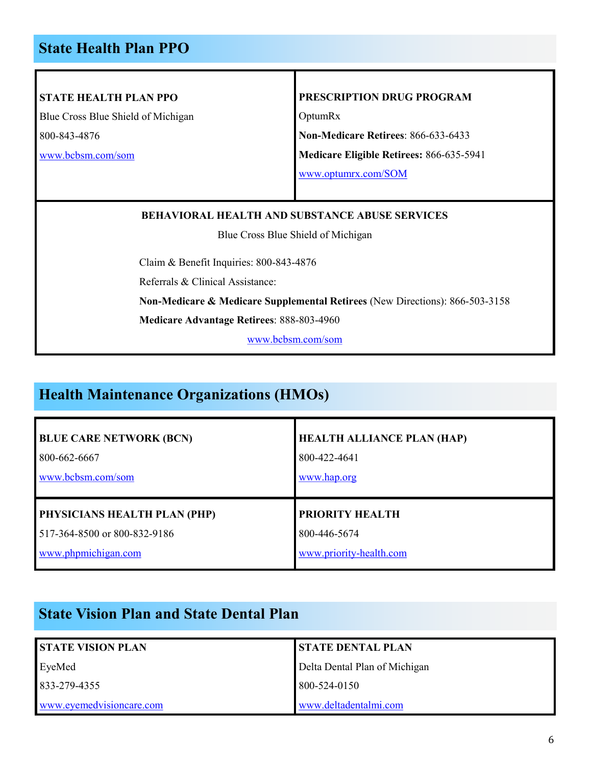#### **State Health Plan PPO**

#### **STATE HEALTH PLAN PPO**

Blue Cross Blue Shield of Michigan 800-843-4876

[www.bcbsm.com/som](http://www.bcbsm.com/som)

#### **PRESCRIPTION DRUG PROGRAM**

OptumRx

**Non-Medicare Retirees**: 866-633-6433

**Medicare Eligible Retirees:** 866-635-5941

[www.optumrx.com/SOM](https://informedrx.rxportal.sxc.com/rxclaim/SOM/SOM.html)

#### **BEHAVIORAL HEALTH AND SUBSTANCE ABUSE SERVICES**

Blue Cross Blue Shield of Michigan

Claim & Benefit Inquiries: 800-843-4876

Referrals & Clinical Assistance:

**Non-Medicare & Medicare Supplemental Retirees** (New Directions): 866-503-3158

**Medicare Advantage Retirees**: 888-803-4960

[www.bcbsm.com/som](http://www.bcbsm.com/som)

#### **Health Maintenance Organizations (HMOs)**

| <b>BLUE CARE NETWORK (BCN)</b> | <b>HEALTH ALLIANCE PLAN (HAP)</b> |
|--------------------------------|-----------------------------------|
| 800-662-6667                   | 800-422-4641                      |
| www.bcbsm.com/som              | www.hap.org                       |
| PHYSICIANS HEALTH PLAN (PHP)   | PRIORITY HEALTH                   |
| 517-364-8500 or 800-832-9186   | 800-446-5674                      |
| www.phpmichigan.com            | www.priority-health.com           |

#### **State Vision Plan and State Dental Plan**

| <b>STATE VISION PLAN</b> | <b>STATE DENTAL PLAN</b>      |
|--------------------------|-------------------------------|
| EyeMed                   | Delta Dental Plan of Michigan |
| 833-279-4355             | 800-524-0150                  |
| www.eyemedvisioncare.com | www.deltadentalmi.com         |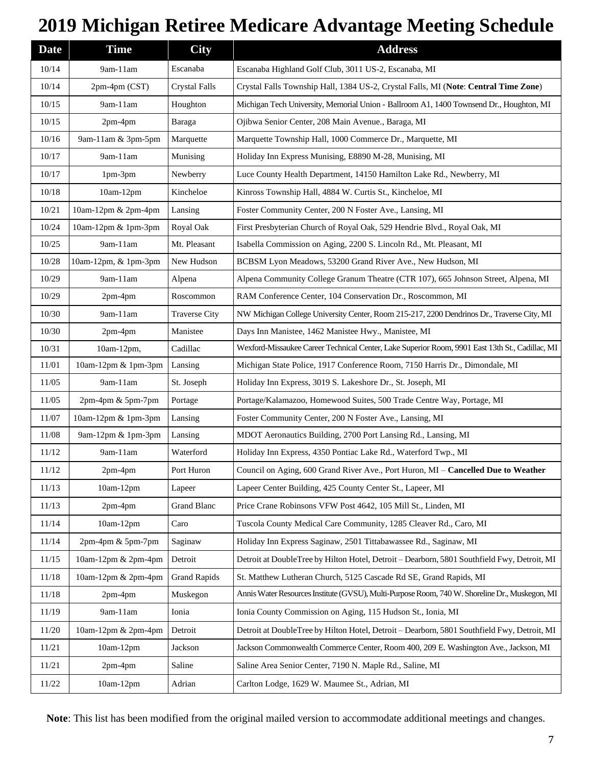## **2019 Michigan Retiree Medicare Advantage Meeting Schedule**

| <b>Date</b> | <b>Time</b>          | <b>City</b>          | <b>Address</b>                                                                                  |
|-------------|----------------------|----------------------|-------------------------------------------------------------------------------------------------|
| 10/14       | 9am-11am             | Escanaba             | Escanaba Highland Golf Club, 3011 US-2, Escanaba, MI                                            |
| 10/14       | 2pm-4pm (CST)        | <b>Crystal Falls</b> | Crystal Falls Township Hall, 1384 US-2, Crystal Falls, MI (Note: Central Time Zone)             |
| 10/15       | 9am-11am             | Houghton             | Michigan Tech University, Memorial Union - Ballroom A1, 1400 Townsend Dr., Houghton, MI         |
| 10/15       | $2pm-4pm$            | Baraga               | Ojibwa Senior Center, 208 Main Avenue., Baraga, MI                                              |
| 10/16       | 9am-11am & 3pm-5pm   | Marquette            | Marquette Township Hall, 1000 Commerce Dr., Marquette, MI                                       |
| 10/17       | 9am-11am             | Munising             | Holiday Inn Express Munising, E8890 M-28, Munising, MI                                          |
| 10/17       | 1pm-3pm              | Newberry             | Luce County Health Department, 14150 Hamilton Lake Rd., Newberry, MI                            |
| 10/18       | 10am-12pm            | Kincheloe            | Kinross Township Hall, 4884 W. Curtis St., Kincheloe, MI                                        |
| 10/21       | 10am-12pm & 2pm-4pm  | Lansing              | Foster Community Center, 200 N Foster Ave., Lansing, MI                                         |
| 10/24       | 10am-12pm & 1pm-3pm  | Royal Oak            | First Presbyterian Church of Royal Oak, 529 Hendrie Blvd., Royal Oak, MI                        |
| 10/25       | 9am-11am             | Mt. Pleasant         | Isabella Commission on Aging, 2200 S. Lincoln Rd., Mt. Pleasant, MI                             |
| 10/28       | 10am-12pm, & 1pm-3pm | New Hudson           | BCBSM Lyon Meadows, 53200 Grand River Ave., New Hudson, MI                                      |
| 10/29       | 9am-11am             | Alpena               | Alpena Community College Granum Theatre (CTR 107), 665 Johnson Street, Alpena, MI               |
| 10/29       | $2pm-4pm$            | Roscommon            | RAM Conference Center, 104 Conservation Dr., Roscommon, MI                                      |
| 10/30       | 9am-11am             | <b>Traverse City</b> | NW Michigan College University Center, Room 215-217, 2200 Dendrinos Dr., Traverse City, MI      |
| 10/30       | 2pm-4pm              | Manistee             | Days Inn Manistee, 1462 Manistee Hwy., Manistee, MI                                             |
| 10/31       | 10am-12pm,           | Cadillac             | Wexford-Missaukee Career Technical Center, Lake Superior Room, 9901 East 13th St., Cadillac, MI |
| 11/01       | 10am-12pm & 1pm-3pm  | Lansing              | Michigan State Police, 1917 Conference Room, 7150 Harris Dr., Dimondale, MI                     |
| 11/05       | 9am-11am             | St. Joseph           | Holiday Inn Express, 3019 S. Lakeshore Dr., St. Joseph, MI                                      |
| 11/05       | 2pm-4pm & 5pm-7pm    | Portage              | Portage/Kalamazoo, Homewood Suites, 500 Trade Centre Way, Portage, MI                           |
| 11/07       | 10am-12pm & 1pm-3pm  | Lansing              | Foster Community Center, 200 N Foster Ave., Lansing, MI                                         |
| 11/08       | 9am-12pm & 1pm-3pm   | Lansing              | MDOT Aeronautics Building, 2700 Port Lansing Rd., Lansing, MI                                   |
| 11/12       | 9am-11am             | Waterford            | Holiday Inn Express, 4350 Pontiac Lake Rd., Waterford Twp., MI                                  |
| 11/12       | 2pm-4pm              | Port Huron           | Council on Aging, 600 Grand River Ave., Port Huron, MI – Cancelled Due to Weather               |
| 11/13       | $10am-12pm$          | Lapeer               | Lapeer Center Building, 425 County Center St., Lapeer, MI                                       |
| 11/13       | 2pm-4pm              | <b>Grand Blanc</b>   | Price Crane Robinsons VFW Post 4642, 105 Mill St., Linden, MI                                   |
| 11/14       | 10am-12pm            | Caro                 | Tuscola County Medical Care Community, 1285 Cleaver Rd., Caro, MI                               |
| 11/14       | $2pm-4pm$ & 5pm-7pm  | Saginaw              | Holiday Inn Express Saginaw, 2501 Tittabawassee Rd., Saginaw, MI                                |
| 11/15       | 10am-12pm & 2pm-4pm  | Detroit              | Detroit at DoubleTree by Hilton Hotel, Detroit - Dearborn, 5801 Southfield Fwy, Detroit, MI     |
| 11/18       | 10am-12pm & 2pm-4pm  | <b>Grand Rapids</b>  | St. Matthew Lutheran Church, 5125 Cascade Rd SE, Grand Rapids, MI                               |
| 11/18       | $2pm-4pm$            | Muskegon             | Annis Water Resources Institute (GVSU), Multi-Purpose Room, 740 W. Shoreline Dr., Muskegon, MI  |
| 11/19       | 9am-11am             | Ionia                | Ionia County Commission on Aging, 115 Hudson St., Ionia, MI                                     |
| 11/20       | 10am-12pm & 2pm-4pm  | Detroit              | Detroit at DoubleTree by Hilton Hotel, Detroit - Dearborn, 5801 Southfield Fwy, Detroit, MI     |
| 11/21       | 10am-12pm            | Jackson              | Jackson Commonwealth Commerce Center, Room 400, 209 E. Washington Ave., Jackson, MI             |
| 11/21       | $2pm-4pm$            | Saline               | Saline Area Senior Center, 7190 N. Maple Rd., Saline, MI                                        |
| 11/22       | $10am-12pm$          | Adrian               | Carlton Lodge, 1629 W. Maumee St., Adrian, MI                                                   |

**Note**: This list has been modified from the original mailed version to accommodate additional meetings and changes.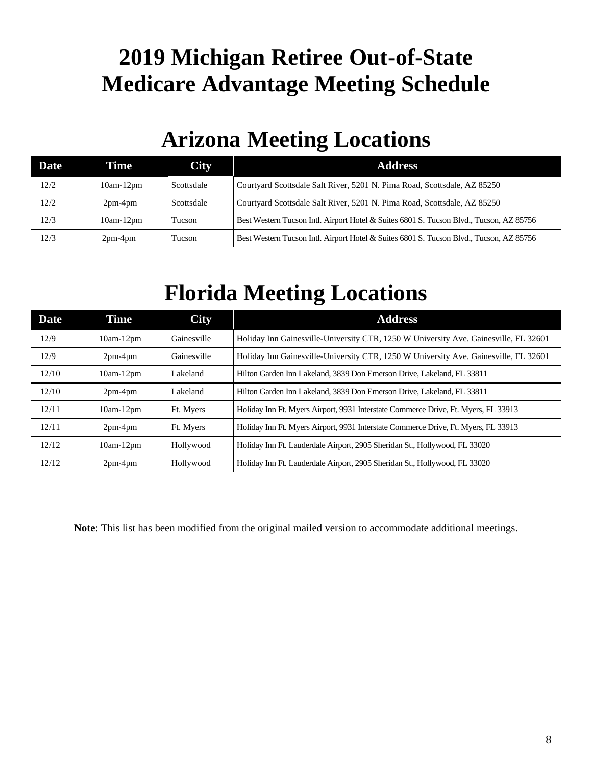## **2019 Michigan Retiree Out-of-State Medicare Advantage Meeting Schedule**

## **Arizona Meeting Locations**

| <b>Date</b> | Time        | <b>City</b> | <b>Address</b>                                                                          |
|-------------|-------------|-------------|-----------------------------------------------------------------------------------------|
| 12/2        | $10am-12pm$ | Scottsdale  | Courtyard Scottsdale Salt River, 5201 N. Pima Road, Scottsdale, AZ 85250                |
| 12/2        | $2pm-4pm$   | Scottsdale  | Courtyard Scottsdale Salt River, 5201 N. Pima Road, Scottsdale, AZ 85250                |
| 12/3        | $10am-12pm$ | Tucson      | Best Western Tucson Intl. Airport Hotel & Suites 6801 S. Tucson Blvd., Tucson, AZ 85756 |
| 12/3        | $2pm-4pm$   | Tucson      | Best Western Tucson Intl. Airport Hotel & Suites 6801 S. Tucson Blvd., Tucson, AZ 85756 |

## **Florida Meeting Locations**

| <b>Date</b> | Time        | <b>City</b> | <b>Address</b>                                                                       |
|-------------|-------------|-------------|--------------------------------------------------------------------------------------|
| 12/9        | $10am-12pm$ | Gainesville | Holiday Inn Gainesville-University CTR, 1250 W University Ave. Gainesville, FL 32601 |
| 12/9        | $2pm-4pm$   | Gainesville | Holiday Inn Gainesville-University CTR, 1250 W University Ave. Gainesville, FL 32601 |
| 12/10       | $10am-12pm$ | Lakeland    | Hilton Garden Inn Lakeland, 3839 Don Emerson Drive, Lakeland, FL 33811               |
| 12/10       | $2pm-4pm$   | Lakeland    | Hilton Garden Inn Lakeland, 3839 Don Emerson Drive, Lakeland, FL 33811               |
| 12/11       | $10am-12pm$ | Ft. Myers   | Holiday Inn Ft. Myers Airport, 9931 Interstate Commerce Drive, Ft. Myers, FL 33913   |
| 12/11       | $2pm-4pm$   | Ft. Myers   | Holiday Inn Ft. Myers Airport, 9931 Interstate Commerce Drive, Ft. Myers, FL 33913   |
| 12/12       | $10am-12pm$ | Hollywood   | Holiday Inn Ft. Lauderdale Airport, 2905 Sheridan St., Hollywood, FL 33020           |
| 12/12       | $2pm-4pm$   | Hollywood   | Holiday Inn Ft. Lauderdale Airport, 2905 Sheridan St., Hollywood, FL 33020           |

**Note**: This list has been modified from the original mailed version to accommodate additional meetings.